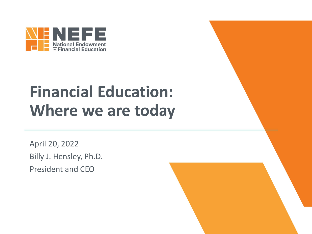

#### **Financial Education: Where we are today**

April 20, 2022 Billy J. Hensley, Ph.D. President and CEO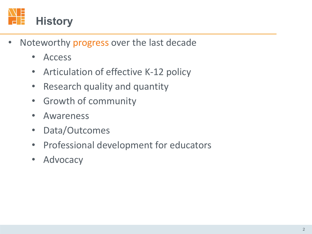

- Noteworthy progress over the last decade
	- Access
	- Articulation of effective K-12 policy
	- Research quality and quantity
	- Growth of community
	- Awareness
	- Data/Outcomes
	- Professional development for educators
	- Advocacy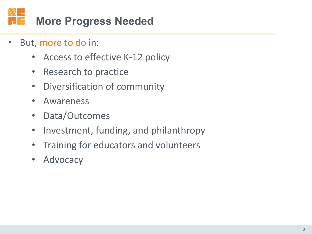

- But, more to do in:
	- Access to effective K-12 policy
	- Research to practice
	- Diversification of community
	- Awareness
	- Data/Outcomes
	- Investment, funding, and philanthropy
	- Training for educators and volunteers
	- Advocacy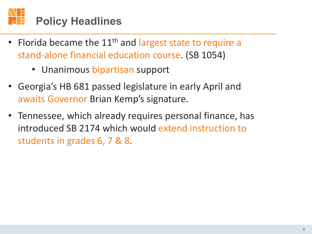## **Policy Headlines**

- Florida became the  $11<sup>th</sup>$  and largest state to require a stand-alone financial education course. (SB 1054)
	- Unanimous bipartisan support
- Georgia's HB 681 passed legislature in early April and awaits Governor Brian Kemp's signature.
- Tennessee, which already requires personal finance, has introduced SB 2174 which would extend instruction to students in grades 6, 7 & 8.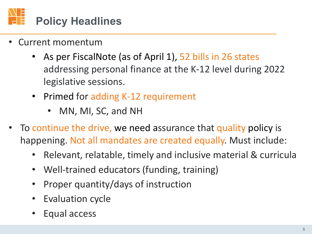

- Current momentum
	- As per FiscalNote (as of April 1), 52 bills in 26 states addressing personal finance at the K-12 level during 2022 legislative sessions.
	- Primed for adding K-12 requirement
		- MN, MI, SC, and NH
- To continue the drive, we need assurance that quality policy is happening. Not all mandates are created equally. Must include:
	- Relevant, relatable, timely and inclusive material & curricula
	- Well-trained educators (funding, training)
	- Proper quantity/days of instruction
	- **Evaluation cycle**
	- Equal access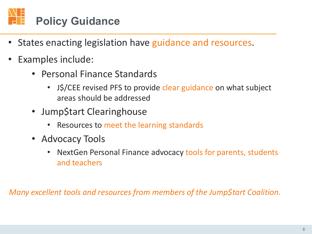

- States enacting legislation have guidance and resources.
- Examples include:
	- Personal Finance Standards
		- J\$/CEE revised PFS to provide clear guidance on what subject areas should be addressed
	- Jump\$tart Clearinghouse
		- Resources to meet the learning standards
	- Advocacy Tools
		- NextGen Personal Finance advocacy tools for parents, students and teachers

*Many excellent tools and resources from members of the Jump\$tart Coalition.*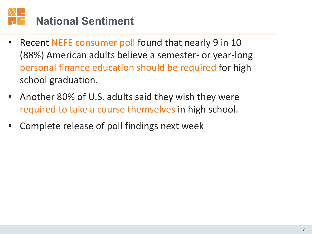#### **National Sentiment**

- Recent NEFE consumer poll found that nearly 9 in 10 (88%) American adults believe a semester- or year-long personal finance education should be required for high school graduation.
- Another 80% of U.S. adults said they wish they were required to take a course themselves in high school.
- Complete release of poll findings next week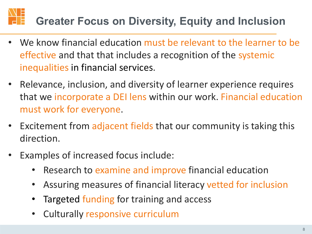## **Greater Focus on Diversity, Equity and Inclusion**

- We know financial education must be relevant to the learner to be effective and that that includes a recognition of the systemic inequalities in financial services.
- Relevance, inclusion, and diversity of learner experience requires that we incorporate a DEI lens within our work. Financial education must work for everyone.
- Excitement from adjacent fields that our community is taking this direction.
- Examples of increased focus include:
	- Research to examine and improve financial education
	- Assuring measures of financial literacy vetted for inclusion
	- Targeted funding for training and access
	- Culturally responsive curriculum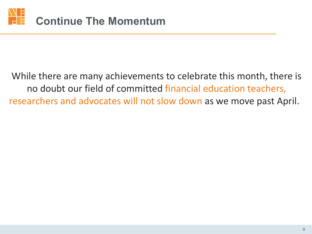

#### While there are many achievements to celebrate this month, there is no doubt our field of committed financial education teachers, researchers and advocates will not slow down as we move past April.